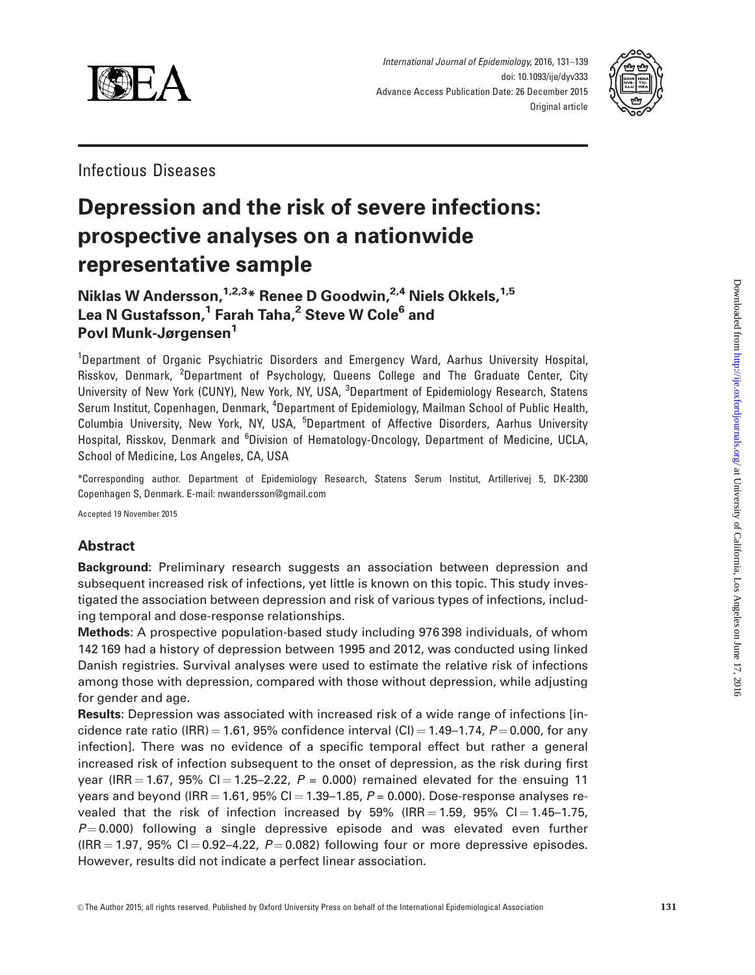

International Journal of Epidemiology, 2016, 131–139 doi: 10.1093/ije/dyv333 Advance Access Publication Date: 26 December 2015 Original article



Infectious Diseases

# Depression and the risk of severe infections: prospective analyses on a nationwide representative sample

## Niklas W Andersson, <sup>1,2,3</sup>\* Renee D Goodwin, <sup>2,4</sup> Niels Okkels, <sup>1,5</sup> Lea N Gustafsson,<sup>1</sup> Farah Taha,<sup>2</sup> Steve W Cole<sup>6</sup> and Povl Munk-Jørgensen<sup>1</sup>

<sup>1</sup>Department of Organic Psychiatric Disorders and Emergency Ward, Aarhus University Hospital, Risskov, Denmark, <sup>2</sup>Department of Psychology, Queens College and The Graduate Center, City University of New York (CUNY), New York, NY, USA, <sup>3</sup>Department of Epidemiology Research, Statens Serum Institut, Copenhagen, Denmark, <sup>4</sup>Department of Epidemiology, Mailman School of Public Health, Columbia University, New York, NY, USA, <sup>5</sup>Department of Affective Disorders, Aarhus University Hospital, Risskov, Denmark and <sup>6</sup>Division of Hematology-Oncology, Department of Medicine, UCLA, School of Medicine, Los Angeles, CA, USA

\*Corresponding author. Department of Epidemiology Research, Statens Serum Institut, Artillerivej 5, DK-2300 Copenhagen S, Denmark. E-mail: nwandersson@gmail.com

Accepted 19 November 2015

## Abstract

Background: Preliminary research suggests an association between depression and subsequent increased risk of infections, yet little is known on this topic. This study investigated the association between depression and risk of various types of infections, including temporal and dose-response relationships.

Methods: A prospective population-based study including 976 398 individuals, of whom 142 169 had a history of depression between 1995 and 2012, was conducted using linked Danish registries. Survival analyses were used to estimate the relative risk of infections among those with depression, compared with those without depression, while adjusting for gender and age.

Results: Depression was associated with increased risk of a wide range of infections [incidence rate ratio (IRR) = 1.61, 95% confidence interval (CI) = 1.49–1.74,  $P = 0.000$ , for any infection]. There was no evidence of a specific temporal effect but rather a general increased risk of infection subsequent to the onset of depression, as the risk during first year (IRR = 1.67, 95% CI = 1.25–2.22,  $P = 0.000$ ) remained elevated for the ensuing 11 years and beyond (IRR  $=$  1.61, 95% CI  $=$  1.39–1.85, P = 0.000). Dose-response analyses revealed that the risk of infection increased by 59% (IRR = 1.59, 95% CI = 1.45–1.75,  $P = 0.000$ ) following a single depressive episode and was elevated even further  $(IRR = 1.97, 95\% \text{ Cl} = 0.92 - 4.22, P = 0.082)$  following four or more depressive episodes. However, results did not indicate a perfect linear association.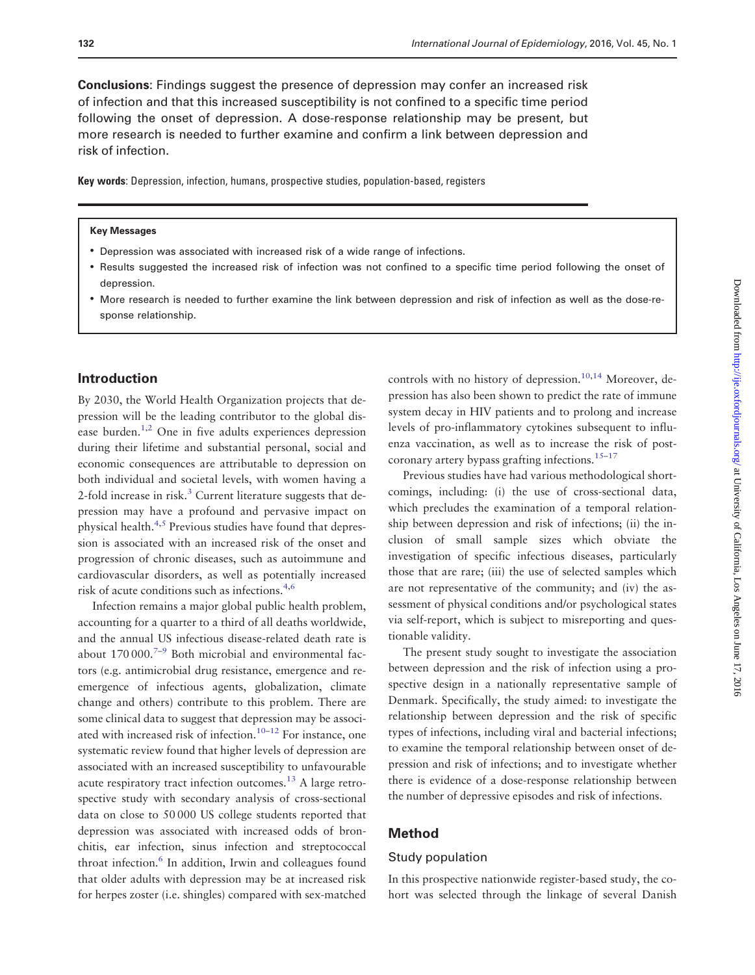Conclusions: Findings suggest the presence of depression may confer an increased risk of infection and that this increased susceptibility is not confined to a specific time period following the onset of depression. A dose-response relationship may be present, but more research is needed to further examine and confirm a link between depression and risk of infection.

Key words: Depression, infection, humans, prospective studies, population-based, registers

#### Key Messages

- Depression was associated with increased risk of a wide range of infections.
- Results suggested the increased risk of infection was not confined to a specific time period following the onset of depression.
- More research is needed to further examine the link between depression and risk of infection as well as the dose-response relationship.

#### Introduction

By 2030, the World Health Organization projects that depression will be the leading contributor to the global disease burden.<sup>1,2</sup> One in five adults experiences depression during their lifetime and substantial personal, social and economic consequences are attributable to depression on both individual and societal levels, with women having a 2-fold increase in risk. $3$  Current literature suggests that depression may have a profound and pervasive impact on physical health.4,5 Previous studies have found that depression is associated with an increased risk of the onset and progression of chronic diseases, such as autoimmune and cardiovascular disorders, as well as potentially increased risk of acute conditions such as infections.4,6

Infection remains a major global public health problem, accounting for a quarter to a third of all deaths worldwide, and the annual US infectious disease-related death rate is about  $170000$ .<sup>7-9</sup> Both microbial and environmental factors (e.g. antimicrobial drug resistance, emergence and reemergence of infectious agents, globalization, climate change and others) contribute to this problem. There are some clinical data to suggest that depression may be associated with increased risk of infection.<sup>10-12</sup> For instance, one systematic review found that higher levels of depression are associated with an increased susceptibility to unfavourable acute respiratory tract infection outcomes.<sup>13</sup> A large retrospective study with secondary analysis of cross-sectional data on close to 50 000 US college students reported that depression was associated with increased odds of bronchitis, ear infection, sinus infection and streptococcal throat infection.<sup>6</sup> In addition, Irwin and colleagues found that older adults with depression may be at increased risk for herpes zoster (i.e. shingles) compared with sex-matched

controls with no history of depression.<sup>10,14</sup> Moreover, depression has also been shown to predict the rate of immune system decay in HIV patients and to prolong and increase levels of pro-inflammatory cytokines subsequent to influenza vaccination, as well as to increase the risk of postcoronary artery bypass grafting infections.<sup>15–17</sup>

Previous studies have had various methodological shortcomings, including: (i) the use of cross-sectional data, which precludes the examination of a temporal relationship between depression and risk of infections; (ii) the inclusion of small sample sizes which obviate the investigation of specific infectious diseases, particularly those that are rare; (iii) the use of selected samples which are not representative of the community; and (iv) the assessment of physical conditions and/or psychological states via self-report, which is subject to misreporting and questionable validity.

The present study sought to investigate the association between depression and the risk of infection using a prospective design in a nationally representative sample of Denmark. Specifically, the study aimed: to investigate the relationship between depression and the risk of specific types of infections, including viral and bacterial infections; to examine the temporal relationship between onset of depression and risk of infections; and to investigate whether there is evidence of a dose-response relationship between the number of depressive episodes and risk of infections.

### Method

#### Study population

In this prospective nationwide register-based study, the cohort was selected through the linkage of several Danish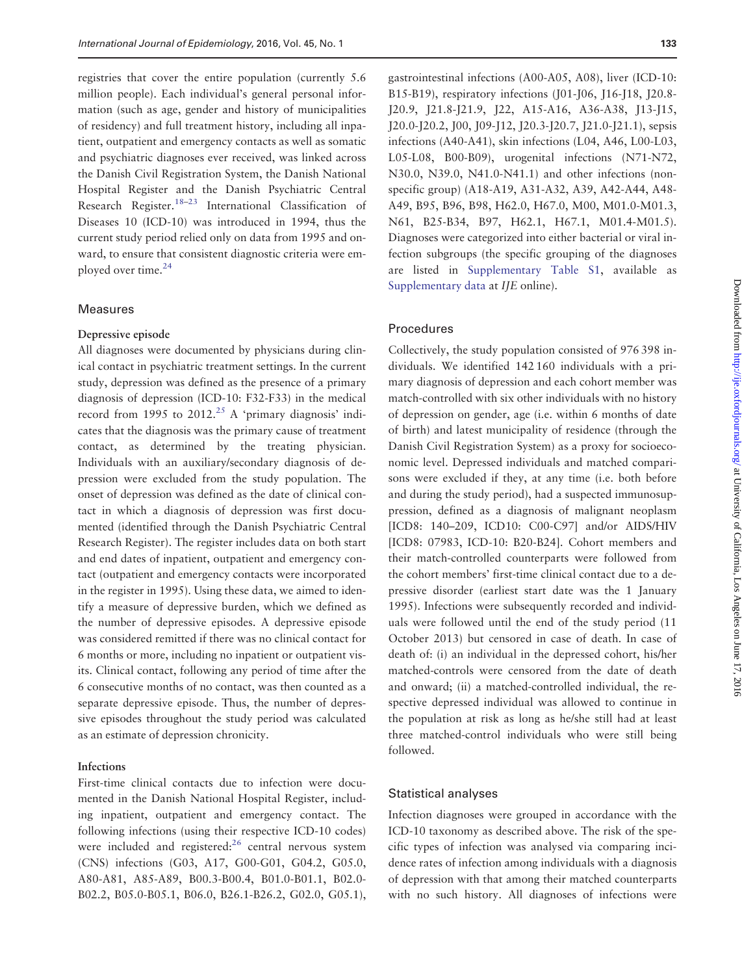registries that cover the entire population (currently 5.6 million people). Each individual's general personal information (such as age, gender and history of municipalities of residency) and full treatment history, including all inpatient, outpatient and emergency contacts as well as somatic and psychiatric diagnoses ever received, was linked across the Danish Civil Registration System, the Danish National Hospital Register and the Danish Psychiatric Central Research Register.18–23 International Classification of Diseases 10 (ICD-10) was introduced in 1994, thus the current study period relied only on data from 1995 and onward, to ensure that consistent diagnostic criteria were employed over time.<sup>24</sup>

#### Measures

#### Depressive episode

All diagnoses were documented by physicians during clinical contact in psychiatric treatment settings. In the current study, depression was defined as the presence of a primary diagnosis of depression (ICD-10: F32-F33) in the medical record from 1995 to 2012.<sup>25</sup> A 'primary diagnosis' indicates that the diagnosis was the primary cause of treatment contact, as determined by the treating physician. Individuals with an auxiliary/secondary diagnosis of depression were excluded from the study population. The onset of depression was defined as the date of clinical contact in which a diagnosis of depression was first documented (identified through the Danish Psychiatric Central Research Register). The register includes data on both start and end dates of inpatient, outpatient and emergency contact (outpatient and emergency contacts were incorporated in the register in 1995). Using these data, we aimed to identify a measure of depressive burden, which we defined as the number of depressive episodes. A depressive episode was considered remitted if there was no clinical contact for 6 months or more, including no inpatient or outpatient visits. Clinical contact, following any period of time after the 6 consecutive months of no contact, was then counted as a separate depressive episode. Thus, the number of depressive episodes throughout the study period was calculated as an estimate of depression chronicity.

#### Infections

First-time clinical contacts due to infection were documented in the Danish National Hospital Register, including inpatient, outpatient and emergency contact. The following infections (using their respective ICD-10 codes) were included and registered:<sup>26</sup> central nervous system (CNS) infections (G03, A17, G00-G01, G04.2, G05.0, A80-A81, A85-A89, B00.3-B00.4, B01.0-B01.1, B02.0- B02.2, B05.0-B05.1, B06.0, B26.1-B26.2, G02.0, G05.1), gastrointestinal infections (A00-A05, A08), liver (ICD-10: B15-B19), respiratory infections (J01-J06, J16-J18, J20.8- J20.9, J21.8-J21.9, J22, A15-A16, A36-A38, J13-J15, J20.0-J20.2, J00, J09-J12, J20.3-J20.7, J21.0-J21.1), sepsis infections (A40-A41), skin infections (L04, A46, L00-L03, L05-L08, B00-B09), urogenital infections (N71-N72, N30.0, N39.0, N41.0-N41.1) and other infections (nonspecific group) (A18-A19, A31-A32, A39, A42-A44, A48- A49, B95, B96, B98, H62.0, H67.0, M00, M01.0-M01.3, N61, B25-B34, B97, H62.1, H67.1, M01.4-M01.5). Diagnoses were categorized into either bacterial or viral infection subgroups (the specific grouping of the diagnoses are listed in Supplementary Table S1, available as Supplementary data at IJE online).

#### Procedures

Collectively, the study population consisted of 976 398 individuals. We identified 142 160 individuals with a primary diagnosis of depression and each cohort member was match-controlled with six other individuals with no history of depression on gender, age (i.e. within 6 months of date of birth) and latest municipality of residence (through the Danish Civil Registration System) as a proxy for socioeconomic level. Depressed individuals and matched comparisons were excluded if they, at any time (i.e. both before and during the study period), had a suspected immunosuppression, defined as a diagnosis of malignant neoplasm [ICD8: 140–209, ICD10: C00-C97] and/or AIDS/HIV [ICD8: 07983, ICD-10: B20-B24]. Cohort members and their match-controlled counterparts were followed from the cohort members' first-time clinical contact due to a depressive disorder (earliest start date was the 1 January 1995). Infections were subsequently recorded and individuals were followed until the end of the study period (11 October 2013) but censored in case of death. In case of death of: (i) an individual in the depressed cohort, his/her matched-controls were censored from the date of death and onward; (ii) a matched-controlled individual, the respective depressed individual was allowed to continue in the population at risk as long as he/she still had at least three matched-control individuals who were still being followed.

#### Statistical analyses

Infection diagnoses were grouped in accordance with the ICD-10 taxonomy as described above. The risk of the specific types of infection was analysed via comparing incidence rates of infection among individuals with a diagnosis of depression with that among their matched counterparts with no such history. All diagnoses of infections were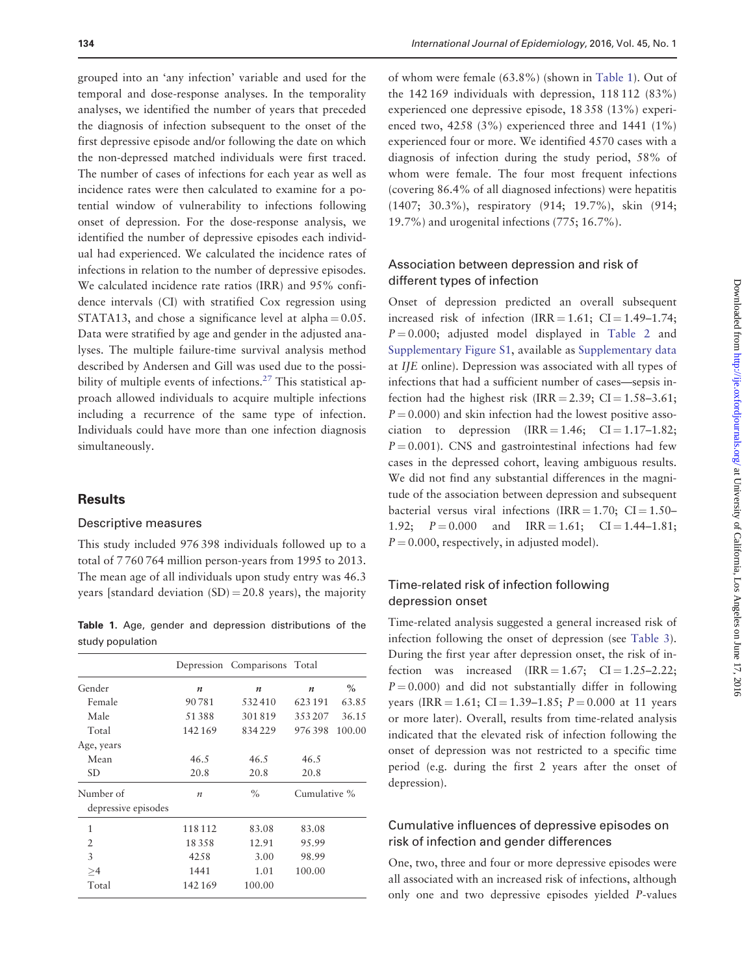grouped into an 'any infection' variable and used for the temporal and dose-response analyses. In the temporality analyses, we identified the number of years that preceded the diagnosis of infection subsequent to the onset of the first depressive episode and/or following the date on which the non-depressed matched individuals were first traced. The number of cases of infections for each year as well as incidence rates were then calculated to examine for a potential window of vulnerability to infections following onset of depression. For the dose-response analysis, we identified the number of depressive episodes each individual had experienced. We calculated the incidence rates of infections in relation to the number of depressive episodes. We calculated incidence rate ratios (IRR) and 95% confidence intervals (CI) with stratified Cox regression using STATA13, and chose a significance level at alpha  $= 0.05$ . Data were stratified by age and gender in the adjusted analyses. The multiple failure-time survival analysis method described by Andersen and Gill was used due to the possibility of multiple events of infections.<sup>27</sup> This statistical approach allowed individuals to acquire multiple infections including a recurrence of the same type of infection. Individuals could have more than one infection diagnosis simultaneously.

## **Results**

#### Descriptive measures

This study included 976 398 individuals followed up to a total of 7 760 764 million person-years from 1995 to 2013. The mean age of all individuals upon study entry was 46.3 years [standard deviation  $(SD) = 20.8$  years), the majority

Table 1. Age, gender and depression distributions of the study population

|                     |                  | Depression Comparisons Total |                  |        |
|---------------------|------------------|------------------------------|------------------|--------|
| Gender              | $\boldsymbol{n}$ | $\boldsymbol{n}$             | $\boldsymbol{n}$ | $\%$   |
| Female              | 90.781           | 532410                       | 623191           | 63.85  |
| Male                | 51388            | 301819                       | 353207           | 36.15  |
| Total               | 142169           | 834229                       | 976398           | 100.00 |
| Age, years          |                  |                              |                  |        |
| Mean                | 46.5             | 46.5                         | 46.5             |        |
| SD                  | 20.8             | 20.8                         | 20.8             |        |
| Number of           | $\boldsymbol{n}$ | $\%$                         | Cumulative %     |        |
| depressive episodes |                  |                              |                  |        |
| 1                   | 118 112          | 83.08                        | 83.08            |        |
| 2                   | 18358            | 12.91                        | 95.99            |        |
| 3                   | 4258             | 3.00                         | 98.99            |        |
| >4                  | 1441             | 1.01                         | 100.00           |        |
| Total               | 142169           | 100.00                       |                  |        |

of whom were female (63.8%) (shown in Table 1). Out of the 142 169 individuals with depression, 118 112 (83%) experienced one depressive episode, 18 358 (13%) experienced two, 4258 (3%) experienced three and 1441 (1%) experienced four or more. We identified 4570 cases with a diagnosis of infection during the study period, 58% of whom were female. The four most frequent infections (covering 86.4% of all diagnosed infections) were hepatitis (1407; 30.3%), respiratory (914; 19.7%), skin (914; 19.7%) and urogenital infections (775; 16.7%).

## Association between depression and risk of different types of infection

Onset of depression predicted an overall subsequent increased risk of infection  $IIRR = 1.61$ ; CI = 1.49–1.74;  $P = 0.000$ ; adjusted model displayed in Table 2 and Supplementary Figure S1, available as Supplementary data at IJE online). Depression was associated with all types of infections that had a sufficient number of cases—sepsis infection had the highest risk  $IIRR = 2.39$ ; CI = 1.58–3.61;  $P = 0.000$ ) and skin infection had the lowest positive association to depression  $IRR = 1.46$ ;  $CI = 1.17-1.82$ ;  $P = 0.001$ ). CNS and gastrointestinal infections had few cases in the depressed cohort, leaving ambiguous results. We did not find any substantial differences in the magnitude of the association between depression and subsequent bacterial versus viral infections (IRR =  $1.70$ ; CI =  $1.50-$ 1.92;  $P = 0.000$  and  $IRR = 1.61$ ;  $CI = 1.44-1.81$ ;  $P = 0.000$ , respectively, in adjusted model).

## Time-related risk of infection following depression onset

Time-related analysis suggested a general increased risk of infection following the onset of depression (see Table 3). During the first year after depression onset, the risk of infection was increased  $(IRR = 1.67; CI = 1.25-2.22;$  $P = 0.000$ ) and did not substantially differ in following years (IRR = 1.61; CI = 1.39–1.85;  $P = 0.000$  at 11 years or more later). Overall, results from time-related analysis indicated that the elevated risk of infection following the onset of depression was not restricted to a specific time period (e.g. during the first 2 years after the onset of depression).

## Cumulative influences of depressive episodes on risk of infection and gender differences

One, two, three and four or more depressive episodes were all associated with an increased risk of infections, although only one and two depressive episodes yielded P-values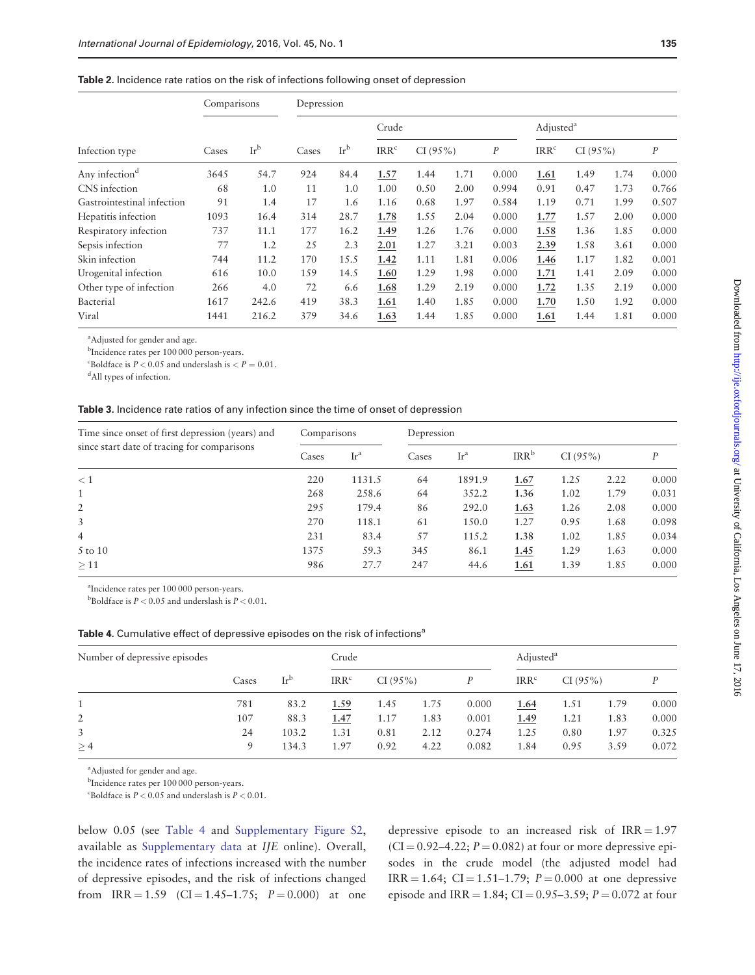#### Table 2. Incidence rate ratios on the risk of infections following onset of depression

|                                              | Comparisons |                |       | Depression     |                  |             |      |       |                       |         |      |                  |
|----------------------------------------------|-------------|----------------|-------|----------------|------------------|-------------|------|-------|-----------------------|---------|------|------------------|
| Infection type<br>Any infection <sup>d</sup> |             | $Ir^b$<br>54.7 | Cases | $Ir^b$<br>84.4 | Crude            |             |      |       | Adjusted <sup>a</sup> |         |      |                  |
|                                              | Cases       |                |       |                | IRR <sup>c</sup> | $CI (95\%)$ |      | P     | IRR <sup>c</sup>      | CI(95%) |      | $\boldsymbol{P}$ |
|                                              | 3645        |                | 924   |                | 1.57             | 1.44        | 1.71 | 0.000 | 1.61                  | 1.49    | 1.74 | 0.000            |
| CNS infection                                | 68          | 1.0            | 11    | 1.0            | 1.00             | 0.50        | 2.00 | 0.994 | 0.91                  | 0.47    | 1.73 | 0.766            |
| Gastrointestinal infection                   | 91          | 1.4            | 17    | 1.6            | 1.16             | 0.68        | 1.97 | 0.584 | 1.19                  | 0.71    | 1.99 | 0.507            |
| Hepatitis infection                          | 1093        | 16.4           | 314   | 28.7           | 1.78             | 1.55        | 2.04 | 0.000 | 1.77                  | 1.57    | 2.00 | 0.000            |
| Respiratory infection                        | 737         | 11.1           | 177   | 16.2           | 1.49             | 1.26        | 1.76 | 0.000 | 1.58                  | 1.36    | 1.85 | 0.000            |
| Sepsis infection                             | 77          | 1.2            | 25    | 2.3            | 2.01             | 1.27        | 3.21 | 0.003 | 2.39                  | 1.58    | 3.61 | 0.000            |
| Skin infection                               | 744         | 11.2           | 170   | 15.5           | 1.42             | 1.11        | 1.81 | 0.006 | 1.46                  | 1.17    | 1.82 | 0.001            |
| Urogenital infection                         | 616         | 10.0           | 159   | 14.5           | 1.60             | 1.29        | 1.98 | 0.000 | 1.71                  | 1.41    | 2.09 | 0.000            |
| Other type of infection                      | 266         | 4.0            | 72    | 6.6            | 1.68             | 1.29        | 2.19 | 0.000 | 1.72                  | 1.35    | 2.19 | 0.000            |
| Bacterial                                    | 1617        | 242.6          | 419   | 38.3           | 1.61             | 1.40        | 1.85 | 0.000 | 1.70                  | 1.50    | 1.92 | 0.000            |
| Viral                                        | 1441        | 216.2          | 379   | 34.6           | 1.63             | 1.44        | 1.85 | 0.000 | 1.61                  | 1.44    | 1.81 | 0.000            |

<sup>a</sup>Adjusted for gender and age.

<sup>b</sup>Incidence rates per 100 000 person-years.

<sup>c</sup>Boldface is  $P < 0.05$  and underslash is  $P = 0.01$ .

<sup>d</sup>All types of infection.

#### Table 3. Incidence rate ratios of any infection since the time of onset of depression

| Time since onset of first depression (years) and<br>since start date of tracing for comparisons | Comparisons |        | Depression |        |                  |             |      |       |  |
|-------------------------------------------------------------------------------------------------|-------------|--------|------------|--------|------------------|-------------|------|-------|--|
|                                                                                                 | Cases       | $Ir^a$ | Cases      | $Ir^a$ | IRR <sup>b</sup> | $CI (95\%)$ |      | P     |  |
| $\lt 1$                                                                                         | 220         | 1131.5 | 64         | 1891.9 | 1.67             | 1.25        | 2.22 | 0.000 |  |
| 1                                                                                               | 268         | 258.6  | 64         | 352.2  | 1.36             | 1.02        | 1.79 | 0.031 |  |
| 2                                                                                               | 295         | 179.4  | 86         | 292.0  | 1.63             | 1.26        | 2.08 | 0.000 |  |
| 3                                                                                               | 270         | 118.1  | 61         | 150.0  | 1.27             | 0.95        | 1.68 | 0.098 |  |
| $\overline{4}$                                                                                  | 231         | 83.4   | 57         | 115.2  | 1.38             | 1.02        | 1.85 | 0.034 |  |
| 5 to 10                                                                                         | 1375        | 59.3   | 345        | 86.1   | 1.45             | 1.29        | 1.63 | 0.000 |  |
| >11                                                                                             | 986         | 27.7   | 247        | 44.6   | 1.61             | 1.39        | 1.85 | 0.000 |  |

a Incidence rates per 100 000 person-years.

<sup>b</sup>Boldface is  $P < 0.05$  and underslash is  $P < 0.01$ .

| Number of depressive episodes |       |        | Crude            |             |      |       |                  | Adjusted <sup>a</sup> |      |       |  |
|-------------------------------|-------|--------|------------------|-------------|------|-------|------------------|-----------------------|------|-------|--|
|                               | Cases | $Ir^b$ | IRR <sup>c</sup> | $CI (95\%)$ |      |       | IRR <sup>c</sup> | CI(95%)               |      |       |  |
|                               | 781   | 83.2   | 1.59             | 1.45        | 1.75 | 0.000 | 1.64             | 1.51                  | 1.79 | 0.000 |  |
| 2                             | 107   | 88.3   | 1.47             | 1.17        | 1.83 | 0.001 | 1.49             | 1.21                  | 1.83 | 0.000 |  |
| 3                             | 24    | 103.2  | 1.31             | 0.81        | 2.12 | 0.274 | 1.25             | 0.80                  | 1.97 | 0.325 |  |
| $\geq 4$                      | 9     | 134.3  | 1.97             | 0.92        | 4.22 | 0.082 | 1.84             | 0.95                  | 3.59 | 0.072 |  |

<sup>a</sup>Adjusted for gender and age.

<sup>b</sup>Incidence rates per 100 000 person-years.

 $c^{\text{c}}$ Boldface is  $P < 0.05$  and underslash is  $P < 0.01$ .

below 0.05 (see Table 4 and Supplementary Figure S2, available as Supplementary data at IJE online). Overall, the incidence rates of infections increased with the number of depressive episodes, and the risk of infections changed from  $IRR = 1.59$   $(CI = 1.45 - 1.75; P = 0.000)$  at one depressive episode to an increased risk of  $IRR = 1.97$  $(CI = 0.92-4.22; P = 0.082)$  at four or more depressive episodes in the crude model (the adjusted model had  $IRR = 1.64$ ;  $CI = 1.51 - 1.79$ ;  $P = 0.000$  at one depressive episode and IRR = 1.84; CI = 0.95–3.59;  $P = 0.072$  at four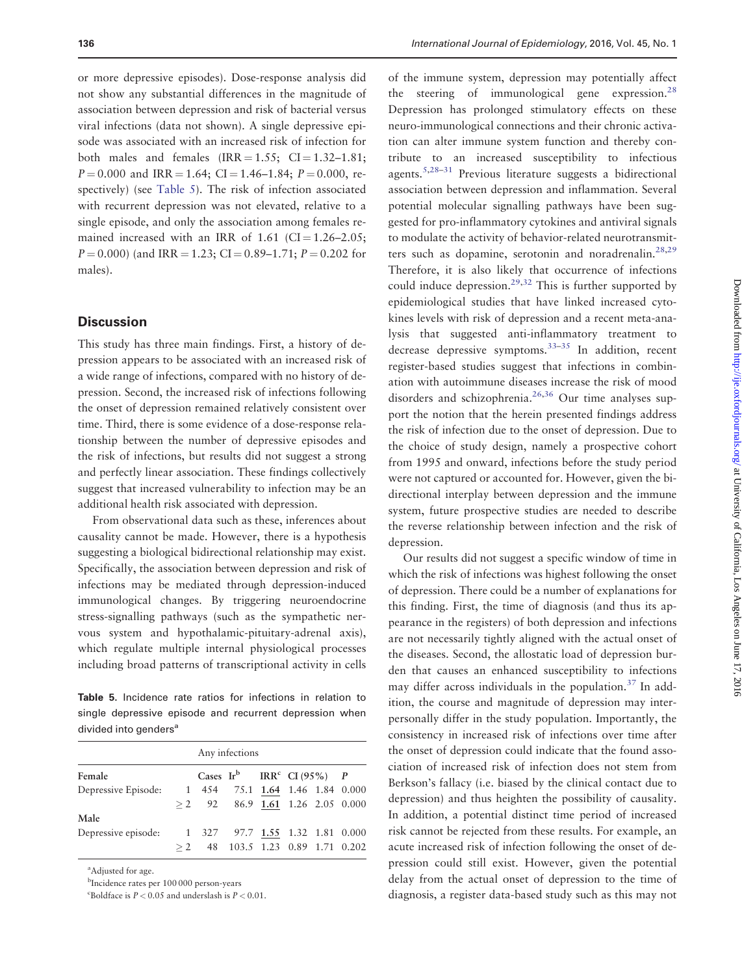or more depressive episodes). Dose-response analysis did not show any substantial differences in the magnitude of association between depression and risk of bacterial versus viral infections (data not shown). A single depressive episode was associated with an increased risk of infection for both males and females  $IIRR = 1.55$ ;  $CI = 1.32-1.81$ ;  $P = 0.000$  and IRR = 1.64; CI = 1.46–1.84;  $P = 0.000$ , respectively) (see Table 5). The risk of infection associated with recurrent depression was not elevated, relative to a single episode, and only the association among females remained increased with an IRR of  $1.61$  (CI =  $1.26 - 2.05$ ;  $P = 0.000$ ) (and IRR = 1.23; CI = 0.89–1.71;  $P = 0.202$  for males).

## **Discussion**

This study has three main findings. First, a history of depression appears to be associated with an increased risk of a wide range of infections, compared with no history of depression. Second, the increased risk of infections following the onset of depression remained relatively consistent over time. Third, there is some evidence of a dose-response relationship between the number of depressive episodes and the risk of infections, but results did not suggest a strong and perfectly linear association. These findings collectively suggest that increased vulnerability to infection may be an additional health risk associated with depression.

From observational data such as these, inferences about causality cannot be made. However, there is a hypothesis suggesting a biological bidirectional relationship may exist. Specifically, the association between depression and risk of infections may be mediated through depression-induced immunological changes. By triggering neuroendocrine stress-signalling pathways (such as the sympathetic nervous system and hypothalamic-pituitary-adrenal axis), which regulate multiple internal physiological processes including broad patterns of transcriptional activity in cells

Table 5. Incidence rate ratios for infections in relation to single depressive episode and recurrent depression when divided into genders<sup>a</sup>

| Any infections                                      |    |  |                                                   |  |  |  |  |  |  |
|-----------------------------------------------------|----|--|---------------------------------------------------|--|--|--|--|--|--|
| Female                                              |    |  | Cases Ir <sup>b</sup> IRR <sup>c</sup> CI (95%) P |  |  |  |  |  |  |
| Depressive Episode: 1 454 75.1 1.64 1.46 1.84 0.000 |    |  |                                                   |  |  |  |  |  |  |
|                                                     |    |  | $> 2$ 92 86.9 1.61 1.26 2.05 0.000                |  |  |  |  |  |  |
| Male                                                |    |  |                                                   |  |  |  |  |  |  |
| Depressive episode: 1 327 97.7 1.55 1.32 1.81 0.000 |    |  |                                                   |  |  |  |  |  |  |
|                                                     | >2 |  | 48 103.5 1.23 0.89 1.71 0.202                     |  |  |  |  |  |  |

<sup>a</sup>Adjusted for age.

b Incidence rates per 100 000 person-years

 $c^{\text{c}}$ Boldface is  $P < 0.05$  and underslash is  $P < 0.01$ .

of the immune system, depression may potentially affect the steering of immunological gene expression.<sup>28</sup> Depression has prolonged stimulatory effects on these neuro-immunological connections and their chronic activation can alter immune system function and thereby contribute to an increased susceptibility to infectious agents.5,28–31 Previous literature suggests a bidirectional association between depression and inflammation. Several potential molecular signalling pathways have been suggested for pro-inflammatory cytokines and antiviral signals to modulate the activity of behavior-related neurotransmitters such as dopamine, serotonin and noradrenalin.<sup>28,29</sup> Therefore, it is also likely that occurrence of infections could induce depression.<sup>29,32</sup> This is further supported by epidemiological studies that have linked increased cytokines levels with risk of depression and a recent meta-analysis that suggested anti-inflammatory treatment to decrease depressive symptoms.<sup>33–35</sup> In addition, recent register-based studies suggest that infections in combination with autoimmune diseases increase the risk of mood disorders and schizophrenia.<sup>26,36</sup> Our time analyses support the notion that the herein presented findings address the risk of infection due to the onset of depression. Due to the choice of study design, namely a prospective cohort from 1995 and onward, infections before the study period were not captured or accounted for. However, given the bidirectional interplay between depression and the immune system, future prospective studies are needed to describe the reverse relationship between infection and the risk of depression.

Our results did not suggest a specific window of time in which the risk of infections was highest following the onset of depression. There could be a number of explanations for this finding. First, the time of diagnosis (and thus its appearance in the registers) of both depression and infections are not necessarily tightly aligned with the actual onset of the diseases. Second, the allostatic load of depression burden that causes an enhanced susceptibility to infections may differ across individuals in the population. $37$  In addition, the course and magnitude of depression may interpersonally differ in the study population. Importantly, the consistency in increased risk of infections over time after the onset of depression could indicate that the found association of increased risk of infection does not stem from Berkson's fallacy (i.e. biased by the clinical contact due to depression) and thus heighten the possibility of causality. In addition, a potential distinct time period of increased risk cannot be rejected from these results. For example, an acute increased risk of infection following the onset of depression could still exist. However, given the potential delay from the actual onset of depression to the time of diagnosis, a register data-based study such as this may not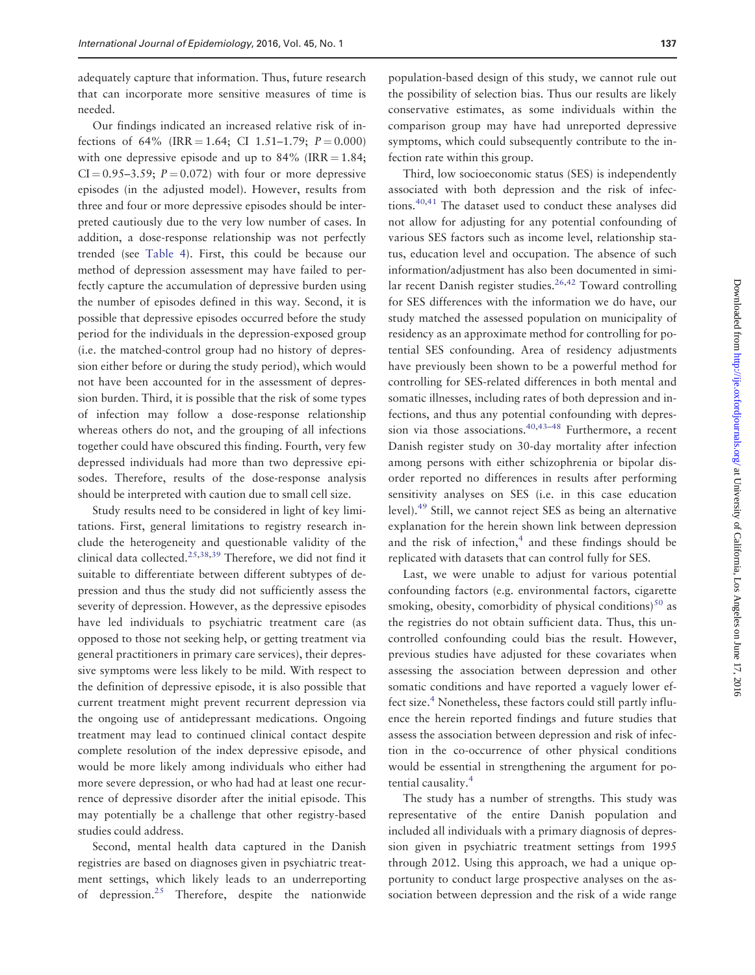adequately capture that information. Thus, future research that can incorporate more sensitive measures of time is needed.

Our findings indicated an increased relative risk of infections of  $64\%$  (IRR = 1.64; CI 1.51-1.79;  $P = 0.000$ ) with one depressive episode and up to  $84\%$  (IRR = 1.84;  $CI = 0.95-3.59$ ;  $P = 0.072$ ) with four or more depressive episodes (in the adjusted model). However, results from three and four or more depressive episodes should be interpreted cautiously due to the very low number of cases. In addition, a dose-response relationship was not perfectly trended (see Table 4). First, this could be because our method of depression assessment may have failed to perfectly capture the accumulation of depressive burden using the number of episodes defined in this way. Second, it is possible that depressive episodes occurred before the study period for the individuals in the depression-exposed group (i.e. the matched-control group had no history of depression either before or during the study period), which would not have been accounted for in the assessment of depression burden. Third, it is possible that the risk of some types of infection may follow a dose-response relationship whereas others do not, and the grouping of all infections together could have obscured this finding. Fourth, very few depressed individuals had more than two depressive episodes. Therefore, results of the dose-response analysis should be interpreted with caution due to small cell size.

Study results need to be considered in light of key limitations. First, general limitations to registry research include the heterogeneity and questionable validity of the clinical data collected.<sup>25,38,39</sup> Therefore, we did not find it suitable to differentiate between different subtypes of depression and thus the study did not sufficiently assess the severity of depression. However, as the depressive episodes have led individuals to psychiatric treatment care (as opposed to those not seeking help, or getting treatment via general practitioners in primary care services), their depressive symptoms were less likely to be mild. With respect to the definition of depressive episode, it is also possible that current treatment might prevent recurrent depression via the ongoing use of antidepressant medications. Ongoing treatment may lead to continued clinical contact despite complete resolution of the index depressive episode, and would be more likely among individuals who either had more severe depression, or who had had at least one recurrence of depressive disorder after the initial episode. This may potentially be a challenge that other registry-based studies could address.

Second, mental health data captured in the Danish registries are based on diagnoses given in psychiatric treatment settings, which likely leads to an underreporting of depression.<sup>25</sup> Therefore, despite the nationwide

population-based design of this study, we cannot rule out the possibility of selection bias. Thus our results are likely conservative estimates, as some individuals within the comparison group may have had unreported depressive symptoms, which could subsequently contribute to the infection rate within this group.

Third, low socioeconomic status (SES) is independently associated with both depression and the risk of infections.40,41 The dataset used to conduct these analyses did not allow for adjusting for any potential confounding of various SES factors such as income level, relationship status, education level and occupation. The absence of such information/adjustment has also been documented in similar recent Danish register studies.<sup>26,42</sup> Toward controlling for SES differences with the information we do have, our study matched the assessed population on municipality of residency as an approximate method for controlling for potential SES confounding. Area of residency adjustments have previously been shown to be a powerful method for controlling for SES-related differences in both mental and somatic illnesses, including rates of both depression and infections, and thus any potential confounding with depression via those associations.  $40,43-48$  Furthermore, a recent Danish register study on 30-day mortality after infection among persons with either schizophrenia or bipolar disorder reported no differences in results after performing sensitivity analyses on SES (i.e. in this case education level).49 Still, we cannot reject SES as being an alternative explanation for the herein shown link between depression and the risk of infection, $4$  and these findings should be replicated with datasets that can control fully for SES.

Last, we were unable to adjust for various potential confounding factors (e.g. environmental factors, cigarette smoking, obesity, comorbidity of physical conditions) $50$  as the registries do not obtain sufficient data. Thus, this uncontrolled confounding could bias the result. However, previous studies have adjusted for these covariates when assessing the association between depression and other somatic conditions and have reported a vaguely lower effect size.<sup>4</sup> Nonetheless, these factors could still partly influence the herein reported findings and future studies that assess the association between depression and risk of infection in the co-occurrence of other physical conditions would be essential in strengthening the argument for potential causality.4

The study has a number of strengths. This study was representative of the entire Danish population and included all individuals with a primary diagnosis of depression given in psychiatric treatment settings from 1995 through 2012. Using this approach, we had a unique opportunity to conduct large prospective analyses on the association between depression and the risk of a wide range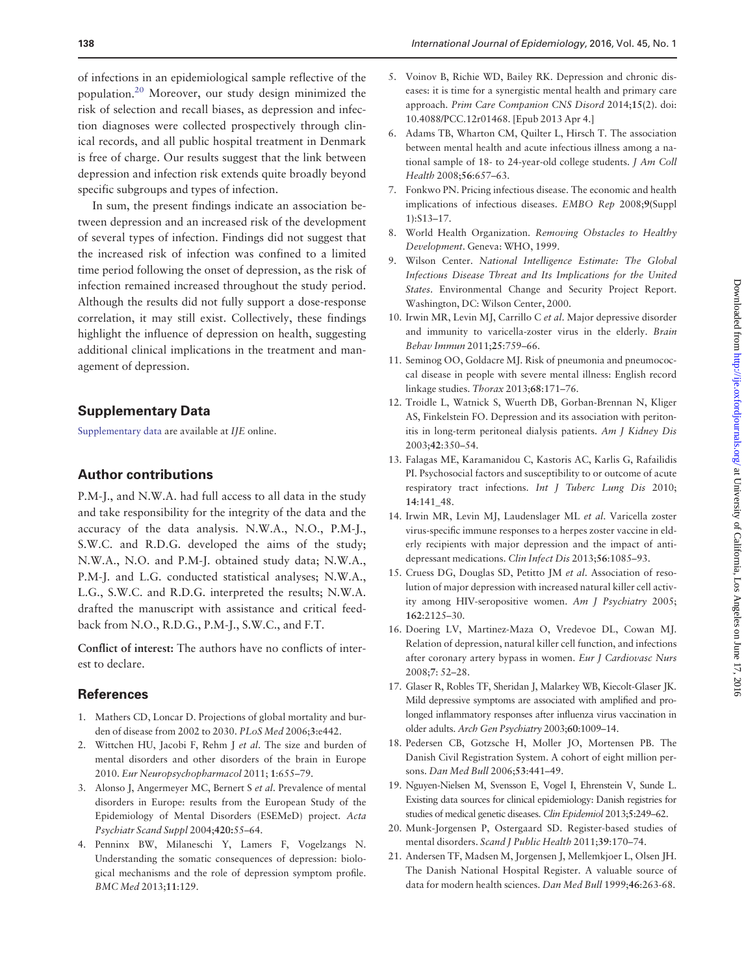of infections in an epidemiological sample reflective of the population.20 Moreover, our study design minimized the risk of selection and recall biases, as depression and infection diagnoses were collected prospectively through clinical records, and all public hospital treatment in Denmark is free of charge. Our results suggest that the link between depression and infection risk extends quite broadly beyond specific subgroups and types of infection.

In sum, the present findings indicate an association between depression and an increased risk of the development of several types of infection. Findings did not suggest that the increased risk of infection was confined to a limited time period following the onset of depression, as the risk of infection remained increased throughout the study period. Although the results did not fully support a dose-response correlation, it may still exist. Collectively, these findings highlight the influence of depression on health, suggesting additional clinical implications in the treatment and management of depression.

## Supplementary Data

Supplementary data are available at IJE online.

## Author contributions

P.M-J., and N.W.A. had full access to all data in the study and take responsibility for the integrity of the data and the accuracy of the data analysis. N.W.A., N.O., P.M-J., S.W.C. and R.D.G. developed the aims of the study; N.W.A., N.O. and P.M-J. obtained study data; N.W.A., P.M-J. and L.G. conducted statistical analyses; N.W.A., L.G., S.W.C. and R.D.G. interpreted the results; N.W.A. drafted the manuscript with assistance and critical feedback from N.O., R.D.G., P.M-J., S.W.C., and F.T.

Conflict of interest: The authors have no conflicts of interest to declare.

## **References**

- 1. Mathers CD, Loncar D. Projections of global mortality and burden of disease from 2002 to 2030. PLoS Med 2006;3:e442.
- 2. Wittchen HU, Jacobi F, Rehm J et al. The size and burden of mental disorders and other disorders of the brain in Europe 2010. Eur Neuropsychopharmacol 2011; 1:655–79.
- 3. Alonso J, Angermeyer MC, Bernert S et al. Prevalence of mental disorders in Europe: results from the European Study of the Epidemiology of Mental Disorders (ESEMeD) project. Acta Psychiatr Scand Suppl 2004;420:55–64.
- 4. Penninx BW, Milaneschi Y, Lamers F, Vogelzangs N. Understanding the somatic consequences of depression: biological mechanisms and the role of depression symptom profile. BMC Med 2013;11:129.
- 5. Voinov B, Richie WD, Bailey RK. Depression and chronic diseases: it is time for a synergistic mental health and primary care approach. Prim Care Companion CNS Disord 2014;15(2). doi: 10.4088/PCC.12r01468. [Epub 2013 Apr 4.]
- 6. Adams TB, Wharton CM, Quilter L, Hirsch T. The association between mental health and acute infectious illness among a national sample of 18- to 24-year-old college students. J Am Coll Health 2008;56:657–63.
- 7. Fonkwo PN. Pricing infectious disease. The economic and health implications of infectious diseases. EMBO Rep 2008;9(Suppl 1):S13–17.
- 8. World Health Organization. Removing Obstacles to Healthy Development. Geneva: WHO, 1999.
- 9. Wilson Center. National Intelligence Estimate: The Global Infectious Disease Threat and Its Implications for the United States. Environmental Change and Security Project Report. Washington, DC: Wilson Center, 2000.
- 10. Irwin MR, Levin MJ, Carrillo C et al. Major depressive disorder and immunity to varicella-zoster virus in the elderly. Brain Behav Immun 2011;25:759–66.
- 11. Seminog OO, Goldacre MJ. Risk of pneumonia and pneumococcal disease in people with severe mental illness: English record linkage studies. Thorax 2013;68:171–76.
- 12. Troidle L, Watnick S, Wuerth DB, Gorban-Brennan N, Kliger AS, Finkelstein FO. Depression and its association with peritonitis in long-term peritoneal dialysis patients. Am J Kidney Dis 2003;42:350–54.
- 13. Falagas ME, Karamanidou C, Kastoris AC, Karlis G, Rafailidis PI. Psychosocial factors and susceptibility to or outcome of acute respiratory tract infections. Int J Tuberc Lung Dis 2010; 14:141\_48.
- 14. Irwin MR, Levin MJ, Laudenslager ML et al. Varicella zoster virus-specific immune responses to a herpes zoster vaccine in elderly recipients with major depression and the impact of antidepressant medications. Clin Infect Dis 2013;56:1085–93.
- 15. Cruess DG, Douglas SD, Petitto JM et al. Association of resolution of major depression with increased natural killer cell activity among HIV-seropositive women. Am J Psychiatry 2005; 162:2125–30.
- 16. Doering LV, Martinez-Maza O, Vredevoe DL, Cowan MJ. Relation of depression, natural killer cell function, and infections after coronary artery bypass in women. Eur J Cardiovasc Nurs 2008;7: 52–28.
- 17. Glaser R, Robles TF, Sheridan J, Malarkey WB, Kiecolt-Glaser JK. Mild depressive symptoms are associated with amplified and prolonged inflammatory responses after influenza virus vaccination in older adults. Arch Gen Psychiatry 2003;60:1009–14.
- 18. Pedersen CB, Gotzsche H, Moller JO, Mortensen PB. The Danish Civil Registration System. A cohort of eight million persons. Dan Med Bull 2006;53:441–49.
- 19. Nguyen-Nielsen M, Svensson E, Vogel I, Ehrenstein V, Sunde L. Existing data sources for clinical epidemiology: Danish registries for studies of medical genetic diseases. Clin Epidemiol 2013;5:249–62.
- 20. Munk-Jorgensen P, Ostergaard SD. Register-based studies of mental disorders. Scand J Public Health 2011;39:170–74.
- 21. Andersen TF, Madsen M, Jorgensen J, Mellemkjoer L, Olsen JH. The Danish National Hospital Register. A valuable source of data for modern health sciences. Dan Med Bull 1999;46:263-68.